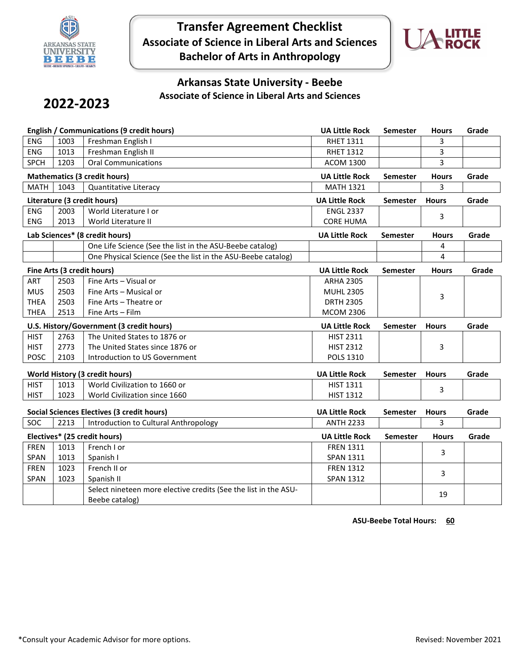

**Transfer Agreement Checklist Associate of Science in Liberal Arts and Sciences Bachelor of Arts in Anthropology**



## **Arkansas State University - Beebe Associate of Science in Liberal Arts and Sciences**

## **2022-2023**

| <b>English / Communications (9 credit hours)</b> |                                       |                                                                 | <b>UA Little Rock</b> | Semester        | <b>Hours</b> | Grade |
|--------------------------------------------------|---------------------------------------|-----------------------------------------------------------------|-----------------------|-----------------|--------------|-------|
| <b>ENG</b>                                       | 1003                                  | Freshman English I                                              | <b>RHET 1311</b>      |                 | 3            |       |
| <b>ENG</b>                                       | 1013                                  | Freshman English II                                             | <b>RHET 1312</b>      |                 | 3            |       |
| <b>SPCH</b>                                      | 1203                                  | <b>Oral Communications</b>                                      | <b>ACOM 1300</b>      |                 | 3            |       |
|                                                  | <b>Mathematics (3 credit hours)</b>   |                                                                 |                       | Semester        | <b>Hours</b> | Grade |
| <b>MATH</b>                                      | 1043                                  | Quantitative Literacy                                           | <b>MATH 1321</b>      |                 | 3            |       |
| Literature (3 credit hours)                      |                                       |                                                                 | <b>UA Little Rock</b> | Semester        | <b>Hours</b> | Grade |
| <b>ENG</b>                                       | 2003                                  | World Literature I or                                           | <b>ENGL 2337</b>      |                 | 3            |       |
| <b>ENG</b>                                       | 2013                                  | World Literature II                                             | <b>CORE HUMA</b>      |                 |              |       |
| Lab Sciences* (8 credit hours)                   |                                       |                                                                 | <b>UA Little Rock</b> | <b>Semester</b> | <b>Hours</b> | Grade |
|                                                  |                                       | One Life Science (See the list in the ASU-Beebe catalog)        |                       |                 | 4            |       |
|                                                  |                                       | One Physical Science (See the list in the ASU-Beebe catalog)    |                       |                 | 4            |       |
| Fine Arts (3 credit hours)                       |                                       |                                                                 | <b>UA Little Rock</b> | <b>Semester</b> | <b>Hours</b> | Grade |
| <b>ART</b>                                       | 2503                                  | Fine Arts - Visual or                                           | <b>ARHA 2305</b>      |                 |              |       |
| <b>MUS</b>                                       | 2503                                  | Fine Arts - Musical or                                          | <b>MUHL 2305</b>      |                 | 3            |       |
| <b>THEA</b>                                      | 2503                                  | Fine Arts - Theatre or                                          | <b>DRTH 2305</b>      |                 |              |       |
| <b>THEA</b>                                      | 2513                                  | Fine Arts - Film                                                | <b>MCOM 2306</b>      |                 |              |       |
| U.S. History/Government (3 credit hours)         |                                       |                                                                 | <b>UA Little Rock</b> | <b>Semester</b> | <b>Hours</b> | Grade |
| <b>HIST</b>                                      | 2763                                  | The United States to 1876 or                                    | <b>HIST 2311</b>      |                 |              |       |
| <b>HIST</b>                                      | 2773                                  | The United States since 1876 or                                 | <b>HIST 2312</b>      |                 | 3            |       |
| <b>POSC</b>                                      | 2103                                  | Introduction to US Government                                   | <b>POLS 1310</b>      |                 |              |       |
| World History (3 credit hours)                   |                                       |                                                                 | <b>UA Little Rock</b> | <b>Semester</b> | <b>Hours</b> | Grade |
| <b>HIST</b>                                      | 1013<br>World Civilization to 1660 or |                                                                 | <b>HIST 1311</b>      |                 |              |       |
| <b>HIST</b>                                      | 1023                                  | World Civilization since 1660                                   | <b>HIST 1312</b>      |                 | 3            |       |
| Social Sciences Electives (3 credit hours)       |                                       |                                                                 | <b>UA Little Rock</b> | Semester        | <b>Hours</b> | Grade |
| SOC                                              | 2213                                  | Introduction to Cultural Anthropology                           | <b>ANTH 2233</b>      |                 | 3            |       |
| Electives* (25 credit hours)                     |                                       |                                                                 | <b>UA Little Rock</b> | <b>Semester</b> | <b>Hours</b> | Grade |
| <b>FREN</b>                                      | 1013                                  | French I or                                                     | <b>FREN 1311</b>      |                 |              |       |
| SPAN                                             | 1013                                  | Spanish I                                                       | <b>SPAN 1311</b>      |                 | 3            |       |
| <b>FREN</b>                                      | 1023                                  | French II or                                                    | <b>FREN 1312</b>      |                 |              |       |
| SPAN                                             | 1023                                  | Spanish II                                                      | <b>SPAN 1312</b>      |                 | 3            |       |
|                                                  |                                       | Select nineteen more elective credits (See the list in the ASU- |                       |                 |              |       |
|                                                  |                                       | Beebe catalog)                                                  |                       |                 | 19           |       |

**ASU-Beebe Total Hours: 60**